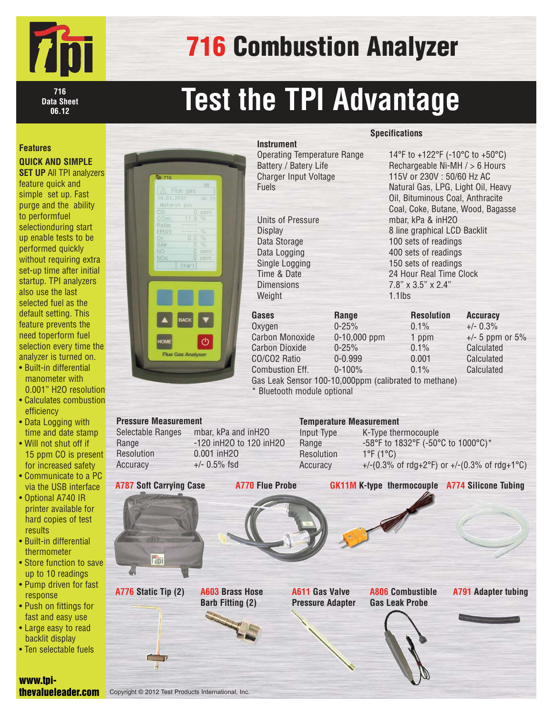

## 716 Combustion Analyzer

**716 Data Sheet 06.12**

# **Test the TPI Advantage**

### **Features**

**QUICK AND SIMPLE**

**SET UP All TPI analyzers** feature quick and simple set up. Fast purge and the ability to performfuel selectionduring start up enable tests to be performed quickly without requiring extra set-up time after initial startup. TPI analyzers also use the last selected fuel as the default setting. This feature prevents the need toperform fuel selection every time the analyzer is turned on.

- Built-in differential manometer with 0.001" H2O resolution
- Calculates combustion efficiency
- Data Logging with time and date stamp
- Will not shut off if 15 ppm CO is present for increased safety
- Communicate to a PC via the USB interface
- Optional A740 IR printer available for hard copies of test results
- Built-in differential thermometer
- Store function to save up to 10 readings • Pump driven for fast
- response • Push on fittings for
- fast and easy use
- Large easy to read backlit display
- Ten selectable fuels

| <b>Tüt 716</b>                                              |
|-------------------------------------------------------------|
| (iii)<br>A Flue gas                                         |
| 18.01.2012<br>06 19                                         |
| Natural gas                                                 |
| CO.<br>$0$ ppm                                              |
| CO <sub>2</sub> (c)<br>8<br>$\%$<br>Ť.                      |
| Ratio                                                       |
| $\frac{1}{2}$<br>Effi(n)                                    |
| 0.0<br>$\%$<br>O <sub>2</sub><br>$\frac{1}{2}$<br>XAir<br>n |
| NO<br>Ō<br>ppm                                              |
| <b>NOx</b><br>$0$ ppm                                       |
| Start                                                       |
|                                                             |
|                                                             |
| <b>BACK</b>                                                 |
| $\mathcal{O}$<br><b>HOME</b>                                |

| Battery / Batery Life<br><b>Charger Input Voltage</b><br><b>Fuels</b> |
|-----------------------------------------------------------------------|
| <b>Units of Pressure</b>                                              |
| <b>Display</b>                                                        |
| Data Storage                                                          |
| Data Logging                                                          |

### Single Lo Time & D Dimensio Weight

#### **Specifications**

| <b>Instrument</b>                                                   |                |                                                                                                   |                     |  |                   |  |                                |  |  |
|---------------------------------------------------------------------|----------------|---------------------------------------------------------------------------------------------------|---------------------|--|-------------------|--|--------------------------------|--|--|
| <b>Operating Temperature Range</b>                                  |                | 14°F to +122°F (-10°C to +50°C)                                                                   |                     |  |                   |  |                                |  |  |
| Battery / Batery Life                                               |                | Rechargeable Ni-MH / > 6 Hours                                                                    |                     |  |                   |  |                                |  |  |
| <b>Charger Input Voltage</b>                                        |                | 115V or 230V: 50/60 Hz AC                                                                         |                     |  |                   |  |                                |  |  |
| <b>Fuels</b>                                                        |                | Natural Gas, LPG, Light Oil, Heavy                                                                |                     |  |                   |  |                                |  |  |
|                                                                     |                | Oil, Bituminous Coal, Anthracite                                                                  |                     |  |                   |  |                                |  |  |
|                                                                     |                | Coal, Coke, Butane, Wood, Bagasse                                                                 |                     |  |                   |  |                                |  |  |
| Units of Pressure<br><b>Display</b><br>Data Storage<br>Data Logging |                | mbar, kPa & inH2O<br>8 line graphical LCD Backlit<br>100 sets of readings<br>400 sets of readings |                     |  |                   |  |                                |  |  |
|                                                                     |                |                                                                                                   |                     |  | Single Logging    |  | 150 sets of readings           |  |  |
|                                                                     |                |                                                                                                   |                     |  | Time & Date       |  | 24 Hour Real Time Clock        |  |  |
|                                                                     |                |                                                                                                   |                     |  | <b>Dimensions</b> |  | $7.8" \times 3.5" \times 2.4"$ |  |  |
| Weight                                                              |                | $1.1$ lbs                                                                                         |                     |  |                   |  |                                |  |  |
| Gases                                                               | Range          | <b>Resolution</b>                                                                                 | <b>Accuracy</b>     |  |                   |  |                                |  |  |
| Oxvgen                                                              | $0 - 25%$      | $0.1\%$                                                                                           | $+/- 0.3%$          |  |                   |  |                                |  |  |
| <b>Carbon Monoxide</b>                                              | $0-10,000$ ppm | 1 ppm                                                                                             | $+/- 5$ ppm or $5%$ |  |                   |  |                                |  |  |
| <b>Carbon Dioxide</b>                                               | $0 - 25%$      | 0.1%                                                                                              | Calculated          |  |                   |  |                                |  |  |
| CO/CO2 Ratio                                                        | $0 - 0.999$    | 0.001                                                                                             | Calculated          |  |                   |  |                                |  |  |

Combustion Eff. 0-100% 0.1% Calculated Gas Leak Sensor 100-10,000ppm (calibrated to methane) \* Bluetooth module optional

| <b>Pressure Measurement</b>    |                         | <b>Temperature Measurement</b> |                                                       |
|--------------------------------|-------------------------|--------------------------------|-------------------------------------------------------|
| Selectable Ranges              | mbar, kPa and inH2O     | Input Type                     | K-Type thermocouple                                   |
| Range                          | -120 inH20 to 120 inH20 | Range                          | -58°F to 1832°F (-50°C to 1000°C)*                    |
| Resolution                     | 0.001 inH20             | Resolution                     | $1^{\circ}$ F (1 $^{\circ}$ C)                        |
| Accuracy                       | $+/-$ 0.5% fsd          | Accuracy                       | +/-(0.3% of rdg+2°F) or +/-(0.3% of rdg+1°C)          |
|                                |                         |                                |                                                       |
| <b>A787 Soft Carrying Case</b> | <b>A770 Flue Probe</b>  |                                | <b>GK11M K-type thermocouple A774 Silicone Tubing</b> |

**A787 Soft Carrying Case**

 $751$ 

**A776 Static Tip (2) A806 Combustible A791 Adapter tubing A611 Gas Valve Pressure Adapter**

**Gas Leak Probe**



www.tpithevalueleader.com

Copyright © 2012 Test Products International, Inc.

**A603 Brass Hose Barb Fitting (2)**